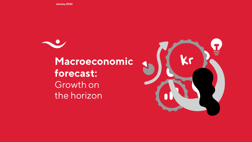**January 2022**

**Macroeconomic forecast:**  Growth on the horizon

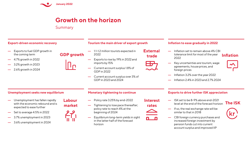

# **Growth on the horizon**

**Summary** 

**GDP growth**

**Labour market**

### **Export-driven economic recovery**

- Exports to fuel GDP growth in the coming term
- 4.7% growth in 2022
- 3.2% growth in 2023
- 2.6% growth in 2024

### **Tourism the main driver of export growth**

**External** 

**Interest** 

n n

- 1.1-1.2 million tourists expected in 2022
- Exports to rise by 19% in 2022 and imports by 15%
- Current account surplus 1.8% of GDP in 2022
- Current account surplus over 3% of GDP in 2023 and 2024

### **Inflation to ease gradually in 2022**

- Inflation set to remain above 4% CBI **trade tolerance limit for most of the year Inflation** 2022
	- Key uncertainties are tourism, wage agreements, house prices, and foreign prices
- 
- Inflation 3.2% over the year 2022
- Inflation 2.4% in 2023 and 2.7% 2024

### **Unemployment seeks new equilibrium**

- Unemployment has fallen rapidly with the economic rebound and is expected to ease further
- Set to average 4.5% in 2022
- 3.7% unemployment in 2023
- 3.6% unemployment in 2024

#### **Monetary tightening to continue**

- Policy rate 3.25% by end-2022
- Tightening to lose pace thereafter; policy rate to reach 4% at the beginning of 2024
- Equilibrium long-term yields in sight in the latter half of the forecast horizon

#### **Exports to drive further ISK appreciation**

- ISK set to be 8-9% above end-2021 **rates EXECTED BY AND REFORM THE ISK**<br>**rates The ISK** 
	- If so, the real exchange rate will be similar to that in 2018
	- CBI foreign currency purchases and increased foreign investment by pension funds cut into current account surplus and improved IIP

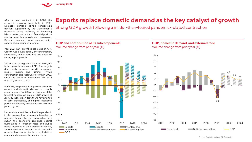

After a deep contraction in 2020, the economic recovery took hold in 2021. Domestic demand gained considerable traction, supported by the Government's economic policy response, an improving labour market, and a sound financial position among most households and businesses. Despite a modest current account deficit, exports also rebounded strongly.

Year-2021 GDP growth is estimated at 4.1%. Growth was driven equally by consumption, investment, and exports but was offset by strong import growth.

We forecast GDP growth at 4.7% in 2022, the fastest growth rate since 2018. The surge is due mostly to robust growth in exports, mainly tourism and fishing. Private consumption also fuels GDP growth in 2022, while the share of investment will ease markedly relative to 2021.

For 2023, we project 3.2% growth, driven by exports and domestic demand in roughly equal measure. For 2024, the final year of the forecast horizon, we project GDP growth at 2.6%. By then, export growth will have started to ease significantly, and tighter economic policy and capacity constraints will slow the pace of growth.

Uncertainty about the path of the pandemic in the coming term remains substantial. In our view, though, the past few quarters have shown the economy's resilience against fluctuations in infection rates and public health measures. In the worst-case scenario, a more persistent pandemic would delay the growth phase but probably not disturb it to any marked degree in the medium term.

# **Exports replace domestic demand as the key catalyst of growth**

Strong GDP growth following a milder-than-feared pandemic-related contraction



Sources: Statistics Iceland, ÍSB Research.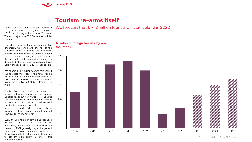

### **Tourism re-arms itself**

Nearly 700,000 tourists visited Iceland in 2021, an increase of nearly 45% relative to 2020 but still only a third of the 2019 total. The vast majority – 470,000 – came in July-October.

The short-term outlook for tourism has undeniably worsened with the rise of the Omicron variant in Iceland and elsewhere. Even so, we believe appetite for travel is keen and that people have begun to travel despite the virus. In this light, many view Iceland as a desirable destination, as it is possible to travel here without close proximity to other people.

We expect 1.1-1.2 million tourists this year. If our forecast materialises, the total will be close to that in 2015, albeit more than 40% less than in 2019. We expect tourist numbers to rise to 1.5 million in 2023 and 1.7 million in 2024.

Tourist flows are vitally important for economic developments in the coming term. Uncertainty about new variants of the virus and the duration of the pandemic remains pronounced, of course. Widespread vaccination among populations likely to travel to Iceland, and less severe illness caused by the Omicron variant warrant cautious optimism, however.

Even though the pandemic has upended tourism in the past two years, it was undeniably helpful that those who visited Iceland in 2021 generally stayed longer and spent more than pre-pandemic travellers did. If this favourable trend continues, the future for tourism looks bright in spite of this temporary setback.

### We forecast that 1.1-1.2 million tourists will visit Iceland in 2022

#### **Number of foreign tourists, by year**

thousands

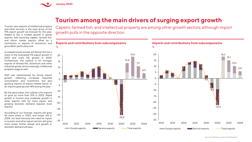

# **Tourism among the main drivers of surging export growth**

Tourism, plus exports of intellectual property and other services, is the main driver of the 19% export growth we forecast for this year. Added to this is modest growth in goods exports, with booming capelin, farmed fish, and silicon metals exports offset by a contraction in exports of aluminium and groundfish, particularly cod.

Increased tourist arrivals will deliver the lion's share of the forecasted 11% export growth in 2023 and scant 5% growth in 2024. Furthermore, the outlook is for stronger exports of farmed fish, aluminium and other industrial goods, and increasingly, intellectual property usage as well.

2021 was characterised by strong import growth, reflecting increased imported consumption and investment, but also growing imports of export-related inputs. In all, imports grew by over 18% during the year.

By the same token, the outlook is for imports to grow by more than 15% in 2022. Rapid growth in tourism plus moderate growth in other exports calls for more inputs, and growing domestic demand requires more imports.

According to our forecast, imports will grow far more slowly in 2023, and slower still in 2024, not least because the need for inputs in tourism and other export sectors will grow more slowly further ahead, and growth in domestic demand will ease.

Capelin, farmed fish, and intellectual property are among other growth sectors, although import growth pulls in the opposite direction

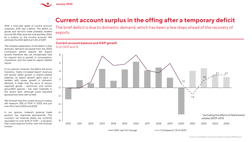

## **Current account surplus in the offing after a temporary deficit**

exports After a nine-year spate of current account surpluses, 2021 saw a deficit. The deficit on goods and services trade probably totalled around ISK 65bn and was only partially offset by a surplus on the income account. We

The simplest explanation of the deficit is that domestic demand recovered from the 2020 contraction before exports did. Export growth therefore did not compensate fully for imports due to growth in consumption, investment, and the need for export-related inputs.

estimate the 2021 deficit at 1.6% of GDP.

In our opinion, however, the deficit will prove transitory. Vastly increased export revenues will quickly offset growth in import-related expense, as export growth gains pace in tandem with slower growth in domestic demand. It helps that the price of various exported goods – aluminium and certain groundfish species – has risen markedly in the recent term, although some imported goods prices have risen as well.

We forecast that the current account surplus will measure 1.8% of GDP in 2022 and just over 3% in both 2023 and 2024.

In our opinion, Iceland's external trade position has improved permanently. The country's net external assets are currently equivalent to over 4/10 of GDP – a situation that could improve further over the forecast horizon.

The brief deficit is due to domestic demand, which has been a few steps ahead of the recovery of

### **Current account balance and GDP growth** % of GDP and % 8 6 4 3.1 3.1 1.8 2 1.0  $\Omega$  $\sim$  1 -2 -1.6 -4 -6 \* excluding the effects of failed banks' estates 2009-2015 -8 2010 2011 2012 2013 2014 2015 2016 2017 2018 2019 2020 2021 2022 2023 2024 GDP, real YoY change  $\overline{C/A}$  balance\* (% of GDP)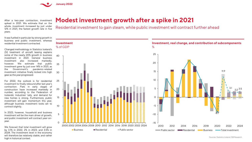

After a two-year contraction, investment spiked in 2021. We estimate that on the whole, investment increased by just under 12% in 2021, the fastest growth rate in five years.

It was fuelled in particular by strong growth in business and public investment, whereas residential investment contracted.

Changed methodology in Statistics Iceland's (SI) treatment of aircraft leasing explains some of the nearly 20% growth in business investment in 2021. General business investment also increased markedly, however. We estimate that public investment grew by just over 14% in 2021, as the Government's pandemic-related investment initiative finally kicked into high gear as the year progressed.

For 2022, the outlook is for residential investment to finally rebound after last year's contraction. Flats in early stages of construction have increased markedly in number, according to the Federation of Icelandic Industries' tally, and demand for new homes is strong. Furthermore, public investment will gain momentum this year, although business investment looks set to contract slightly.

In 2023, however, household and business investment will be the main driver of growth. and public investment will contract year-onyear.

We forecast that total investment will grow by 3.1% in 2022, 2% in 2023, and 3.5% in 2024. The investment level in the economy will therefore be relatively stable, and rather high in historical context.

# **Modest investment growth after a spike in 2021**

Residential investment to gain steam, while public investment will contract further ahead

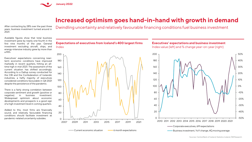

## **Increased optimism goes hand-in-hand with growth in demand**

After contracting by 28% over the past three years, business investment turned around in 2021.

Dwindling uncertainty and relatively favourable financing conditions fuel business investment

Available figures show that total business investment grew by nearly one-fourth in the first nine months of the year. General investment excluding aircraft, ships, and energy-intensive industry grew by more than a fifth.

Executives' expectations concerning nearterm economic conditions have improved markedly in recent quarters, hitting an alltime high in mid-2021. The assessment of the current situation has shifted accordingly. According to a Gallup survey conducted for the CBI and the Confederation of Icelandic industries, a hefty majority of executives considered conditions favourable in Q4 2021 despite the persistence of the pandemic.

There is a fairly strong correlation between corporate sentiment and growth (positive or negative) in business investment. Widespread optimism about economic developments and prospects is a good sign of a high investment level in coming quarters.

Added to this, most firms are financially sound, and relatively favourable financing conditions should facilitate investment as pandemic-related uncertainty subsides.



**Executives' expectations and business investment** Index value (left) and % change year-on-year (right)

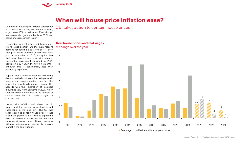

# **When will house price inflation ease?**

Demand for housing was strong throughout 2021. Prices rose nearly 16% in nominal terms, or just over 10% in real terms. Even though real wages also grew markedly in 2021, real house prices rose much faster.

Favourable interest rates and households' strong asset position are the main reasons demand for housing is as strong as it is. Even though a record number of new flats were put on the market in 2020, it is quite clear that supply has not kept pace with demand. Residential investment declined in 2021, contracting by 7.5% in the first nine months, although this is considerably less than previously expected.

Supply takes a while to catch up with rising demand in the housing market, as it generally takes around two years to build new flats. It is hoped that supply will increase this year. This accords with the Federation of Icelandic Industries tally from September 2021, which showed a sizeable increase in the number of capital area flats in early stages of construction.

House price inflation well above rises in wages and the general price level is not sustainable in the long run. The CBI has taken action to contain house prices. It has raised the policy rate, as well as tightening rules on maximum loan-to-value and debt service-to-income ratios. These measures will have an increasing impact on the housing market in the coming term.

CBI takes action to contain house prices

#### **Real house prices and real wages**

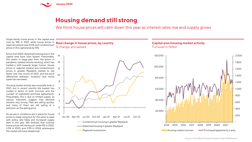

 $-2$ 

 $\Omega$ 

2%

 $\Delta$ 

6%

8%

 $10<sup>°</sup>$ 

12%

 $14$ 

 $16<sup>°</sup>$ 

### **Housing demand still strong**

We think house prices will calm down this year as interest rates rise and supply grows

Single-family home prices in the capital area rose by 18% in 2021, while house prices in regional Iceland rose 16.5% and condominium prices in the capital area by 15%.

Since mid-2020, detached home prices in the capital area have risen fastest. Presumably, this stems in large part from the boom in pandemic-related remote working, which has fuelled a shift towards larger homes. House prices in regional Iceland and condominium prices in greater Reykjavík started to rise faster over the course of 2021, and the price differential between locations and home types has narrowed.

Housing market activity was unusually brisk in 2021, but in recent months the market has cooled in terms of both turnover and the number of registered purchase agreements. Presumably, this is due to limited supply, as various indicators suggest that demand remains very strong. Flats are selling quickly, and many of them are still selling at a premium on the asking price.

As we see it, conditions are in place for house prices to keep rising but for the pace to ease with policy rate hikes and increased supply later in the year. We forecast that nominal house prices will rise by just under 8% in 2022, 3.5% in 2023, and 2.9% in 2024, whereupon the market will have rebalanced.

**Real change in house prices, by country** % change, annualised



### **Capital area housing market activity**



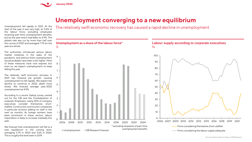

## **Unemployment converging to a new equilibrium**

Unemployment fell rapidly in 2021. At the start of the year it was very high, at 11.6% of the labour force, excluding employees receiving part-time unemployment benefits, but by the year-end it had fallen to 4.9%. The jobless rate was cut by more than half over the course of 2021 and averaged 7.7% for the year as a whole.

The authorities introduced various labour market initiatives in the wake of the pandemic, and without them unemployment would probably have been a bit higher. Most of these measures have now expired, but even so, we expect unemployment to keep falling this year.

The relatively swift economic recovery in 2021 has fostered job growth, causing unemployment to fall rapidly. We expect the decline to continue in 2022, albeit more slowly. We forecast average year-2022 unemployment at 4.5%.

According to a recent Gallup survey carried out for the CBI and the Confederation of Icelandic Employers, nearly 40% of company executives consider themselves shortstaffed. Construction and tourism companies in particular envision adding on staff in the next six months. As foreign workers have been prominent in these sectors, labour importation is likely to increase markedly this year.

We forecast that unemployment will fall to a new equilibrium in the coming term, averaging 3.7% in 2023 and 3.6% in 2024. This is roughly the level seen in 2019.

The relatively swift economic recovery has caused a rapid decline in unemployment



Sources: Directorate of Labour, ÍSB Research.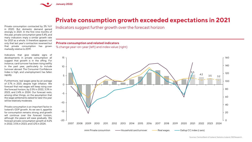

## **Private consumption growth exceeded expectations in 2021**

Private consumption contracted by 3% YoY in 2020. But domestic demand gained strongly in 2021. In the first nine months of the year, private consumption grew 5.4%, and many indicators imply a similar growth rate for 2021 as a whole. It therefore appears not only that last year's contraction reversed but that private consumption has grown markedly relative to 2019.

Indicators that give reliable signs of developments in private consumption all suggest that growth is in the offing. For instance, card turnover has been rising swiftly in the past year, particularly to include turnover abroad. The Consumer Confidence Index is high, and unemployment has fallen rapidly.

Furthermore, real wages grew by an average of 3.7% in 2021, despite high inflation. We forecast that real wages will keep rising over the forecast horizon, by 2.5% in 2022, 3.3% in 2023, and 2.4% in 2024. Our forecast rests, among other things, on the assumption that the wage settlements slated for later this year will be relatively moderate.

Private consumption is an important factor in Iceland's GDP growth. As we see it, appetite for consumption remains strong, and growth will continue over the forecast horizon, although the peace will ease gradually. We forecast private consumption growth at 4.2% in 2022, 3.5% in 2023, and 3.2% in 2024.

Indicators suggest further growth over the forecast horizon

#### **Private consumption and related indicators**

% change year-on-year (left) and index value (right)



Sources: Central Bank of Iceland, Statistics Iceland, ÍSB Research.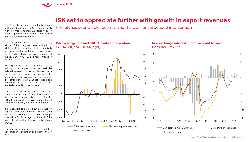

# **ISK set to appreciate further with growth in export revenues**

The ISK weakened markedly at the beginning of the pandemic, and the CBI traded heavily in the FX market to mitigate volatility, but in recent quarters the market has grown considerably more balanced.

The ISK appreciated by nearly 3% in 2021, with all of the strengthening occurring in H1, while in H2 it fluctuated within a relatively narrow range. The CBI steadily scaled down its FX market intervention over the course of the year, and in Q4/2021 it hardly traded in the market at all.

We expect the ISK to strengthen again, although the appreciation may well be delayed somewhat in the months to come. A surplus on the current account is in the offing, interest rates are on the rise, Iceland's IIP is strong, the growth outlook is good, and non-residents' securities holdings are relatively limited in historical terms.

On the other hand, the pension funds are likely to step up their foreign investment in the coming term, and it is possible that the CBI will add to its FX reserves again if the ISK strengthens quickly over any given period.

It is impossible to predict how rapid such an appreciation will be or when it will occur, but the forecast assumes that the ISK exchange rate will be 8-9% stronger by the end of the forecast horizon than it was at the beginning of 2022.

The real exchange rate in terms of relative consumer prices will then be similar to that in 2018.

The ISK has been stable recently, and the CBI has suspended intervention

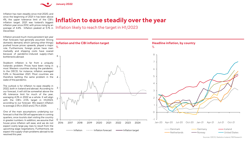

Inflation has risen steadily since mid-2020, and since the beginning of 2021 it has been above 4%, the upper tolerance limit of the CBI's inflation target. 2021 was Iceland's biggest inflation year since 2012, with prices rising by an December.

Inflation proved much more persistent last year than forecasts had generally assumed. Strong domestic demand, which (among other things) pushed house prices upwards, played a major role. Furthermore, foreign prices have risen markedly and shipping costs have soared because of pandemic-induced supply-chain bottlenecks abroad.

Stubborn inflation is far from a uniquely Icelandic problem. Prices have been rising in most Western countries during the pandemic. In the OECD, for instance, inflation averaged 5.8% in November 2021. Most countries are therefore battling the same problem in the wake of the pandemic.

The outlook is for inflation to ease steadily in 2022, both in Iceland and abroad. According to our forecast, it will still be somewhat above the 4% tolerance limit for much of the year, averaging 4.3% in 2022 as a whole. It will align with the CBI's 2.5% target in H1/2023, according to our forecast. We expect inflation to average 2.5% in 2023 and 2.7% in 2024.

One of the main assumptions underlying our forecast is that the ISK will appreciate in coming quarters, once tourists start visiting the country in greater numbers. In addition, we assume that house price inflation will ease, and we do not expect overly large pay rises to result from the upcoming wage negotiations. Furthermore, we expect the supply-chain problems abroad to be resolved this year.

# **Inflation to ease steadily over the year**

average of 4.4%. Inflation peaked at 5.1% in Inflation likely to reach the target in H1/2023



Sources: OECD, Statistics Iceland, ÍSB Research.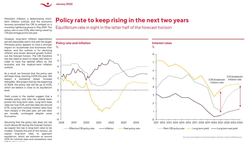![](_page_14_Picture_0.jpeg)

Persistent inflation, a deteriorating shortterm inflation outlook, and the economic recovery prompted the CBI to embark on a monetary tightening phase in May 2021. The policy rate is now 2.0%, after being raised by 1.25 percentage points last year.

However, long-term inflation expectations are still reasonably well in line with the target. Monetary policy appears to have a stronger impact on households and businesses than before, and the outlook is for declining inflation and slower demand growth further out the forecast horizon. The CBI therefore has less need to resort to steep rate hikes in order to have the desired effect on the economy and the medium-term inflation outlook.

As a result, we forecast that the policy rate will keep rising, reaching 3.25% this year. We expect a somewhat slower increase thereafter. We project that by the beginning of 2024, the policy rate will be up to 4.0%, which we believe is close to its equilibrium level.

Yield curves in the market suggest that a sizeable policy rate hike has already been priced into long-term rates. Long-term base rates are now 4.3%, and real rates are around 0.7%. Long-term nominal interest rates have risen steeply in the past year, yet real rates are broadly unchanged despite some fluctuation.

Assuming that the policy rate does not rise much above 4% during the forecast horizon, we expect the rise in long-term rates to be modest. Towards the end of the horizon, we expect long-term rates to approach equilibrium, which we estimate at around 4.5% for nominal rates and somewhere near 1.3% for the real rate.

# **Policy rate to keep rising in the next two years**

Equilibrium rate in sight in the latter half of the forecast horizon

![](_page_14_Figure_8.jpeg)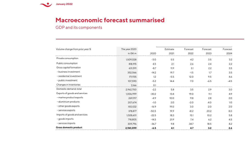![](_page_15_Picture_0.jpeg)

## **Macroeconomic forecast summarised**

GDP and its components

| Volume change from prior year % | The year 2020       |         | Estimate | Forecast | Forecast | Forecast |
|---------------------------------|---------------------|---------|----------|----------|----------|----------|
|                                 | in ISK <sub>m</sub> | 2020    | 2021     | 2022     | 2023     | 2024     |
| Private consumption             | 1,509,028           | $-3.0$  | 5.5      | 4.2      | 3.5      | 3.2      |
| Public consumption              | 818,915             | 4.5     | 2.1      | 2.6      | 2.4      | 2.2      |
| Gross capital formation         | 631,591             | $-8.7$  | 11.9     | 3.1      | 2.2      | 3.5      |
| - business investment           | 352,066             | $-14.2$ | 19.7     | $-1.5$   | 1.7      | 3.5      |
| - residential investment        | 171,935             | 1.2     | $-5.5$   | 12.0     | 9.5      | 4.6      |
| - public investment             | 107,590             | $-5.2$  | 14.4     | 7.0      | $-6.5$   | $-4.5$   |
| Changes in inventories          | 3,166               | O.1     |          |          |          |          |
| Domestic demand, total          | 2,962,700           | $-2.2$  | 5.8      | 3.5      | 2.9      | 3.0      |
| Exports of goods and services   | 1,006,999           | $-30.2$ | 13.4     | 19.0     | 11.1     | 4.9      |
| - marine product exports        | 269,917             | $-4.9$  | 10.0     | 9.8      | 2.8      | 2.0      |
| - aluminium products            | 207,674             | $-1.0$  | 2.0      | $-2.0$   | 4.0      | 1.0      |
| - other goods exports           | 150,532             | $-16.9$ | 19.0     | 3.0      | 2.0      | 2.0      |
| - services exports              | 378,877             | $-50.5$ | 19.9     | 41.2     | 20.2     | 8.0      |
| Imports of goods and services   | 1,028,601           | $-22.5$ | 18.3     | 15.1     | 10.2     | 5.8      |
| - goods imports                 | 718,805             | $-14.5$ | 21.9     | 7.4      | 6.2      | 4.5      |
| - services imports              | 309,796             | $-36.7$ | 9.8      | 34.7     | 18.5     | 8.2      |
| Gross domestic product          | 2,941,099           | $-6.5$  | 4.1      | 4.7      | 3.2      | 2.6      |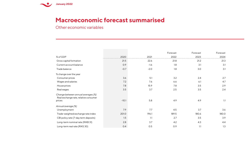![](_page_16_Picture_0.jpeg)

### **Macroeconomic forecast summarised**

Other economic variables

|                                                                                       |         |        | Forecast | Forecast | Forecast |
|---------------------------------------------------------------------------------------|---------|--------|----------|----------|----------|
| % of GDP                                                                              | 2020    | 2021   | 2022     | 2023     | 2024     |
| Gross capital formation                                                               | 21.5    | 22.6   | 21.8     | 21.2     | 21.3     |
| Current account balance                                                               | 0.9     | $-1.6$ | 1.8      | 3.1      | 3.1      |
| Trade balance                                                                         | $-0.7$  | $-2.0$ | 1.8      | 3.0      | 3.1      |
| % change over the year                                                                |         |        |          |          |          |
| Consumer prices                                                                       | 3.6     | 5.1    | 3.2      | 2.4      | 2.7      |
| Wages and salaries                                                                    | 7.2     | 7.6    | 6.6      | 6.1      | 4.7      |
| House prices                                                                          | 7.8     | 15.9   | 7.8      | 3.5      | 2.9      |
| Real wages                                                                            | 3.5     | 3.7    | 2.5      | 3.5      | 2.4      |
| Change between annual averages (%)<br>Real exchange rate, relative consumer<br>prices | $-10.1$ | 5.8    | 4.9      | 4.9      | 1.1      |
| Annual average (%)                                                                    |         |        |          |          |          |
| Unemployment                                                                          | 7.9     | 7.7    | 4.5      | 3.7      | 3.6      |
| Trade-weighted exchange rate index                                                    | 201.0   | 196.1  | 189.5    | 180.6    | 180.0    |
| CBI policy rate (7-day term deposits)                                                 | 1.5     | 1.1    | 2.7      | 3.5      | 3.9      |
| Long-term nominal rate (RIKB 31)                                                      | 2.8     | 3.7    | 4.2      | 4.3      | 4.4      |
| Long-term real rate (RIKS 30)                                                         | 0.4     | 0.5    | 0.9      | 1.1      | 1.3      |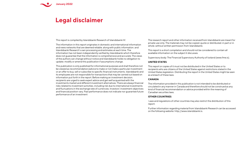![](_page_17_Picture_0.jpeg)

### **Legal disclaimer**

This report is compiled by Islandsbanki Research of Islandsbanki hf.

The information in this report originates in domestic and international information and news networks that are deemed reliable. along with public information. and Islandsbanki Research's own processing and estimates at each time. The information has not been independently verified by Islandsbanki which therefore does not guarantee that the information is comprehensive and accurate. The views of the authors can change without notice and Islandsbanki holds no obligation to update. modify or amend this publication if assumptions change.

This publication is only published for informational purposes and shall therefore not be viewed as recommendation/advice to make or not make a particular investment or an offer to buy. sell or subscribe to specific financial instruments. Islandsbanki and its employees are not responsible for transactions that may be carried out based on information put forth in the report. Before making an investment decision. recipients are urged to seek expert advice and get well acquainted with the investments market and different investment alternatives. There are always financial risks related to investment activities. including risk due to international investments and fluctuations in the exchange rate of currencies. Investors' investment objectives and financial position vary. Past performance does not indicate nor guarantee future performance of an investment

The research report and other information received from Islandsbanki are meant for private use only. The materials may not be copied. quote or distributed. in part or in whole. without written permission from Islandsbanki.

This report is a short compilation and should not be considered to contain all available information on the subject it discusses.

Supervisory body: The Financial Supervisory Authority of Iceland (www.fme.is).

#### **UNITED STATES**

This report or copies of it must not be distributed in the United States or to recipients who are citizens of the United States against restrictions stated in the United States legislation. Distributing the report in the United States might be seen as a breach of these laws.

#### **CANADA**

The information provided in this publication is not intended to be distributed or circulated in any manner in Canada and therefore should not be construed as any kind of financial recommendation or advice provided within the meaning of Canadian securities laws.

#### **OTHER COUNTRIES**

Laws and regulations of other countries may also restrict the distribution of this report.

Further information regarding material from Islandsbanki Research can be accessed on the following website: http://www.islandsbanki.is.